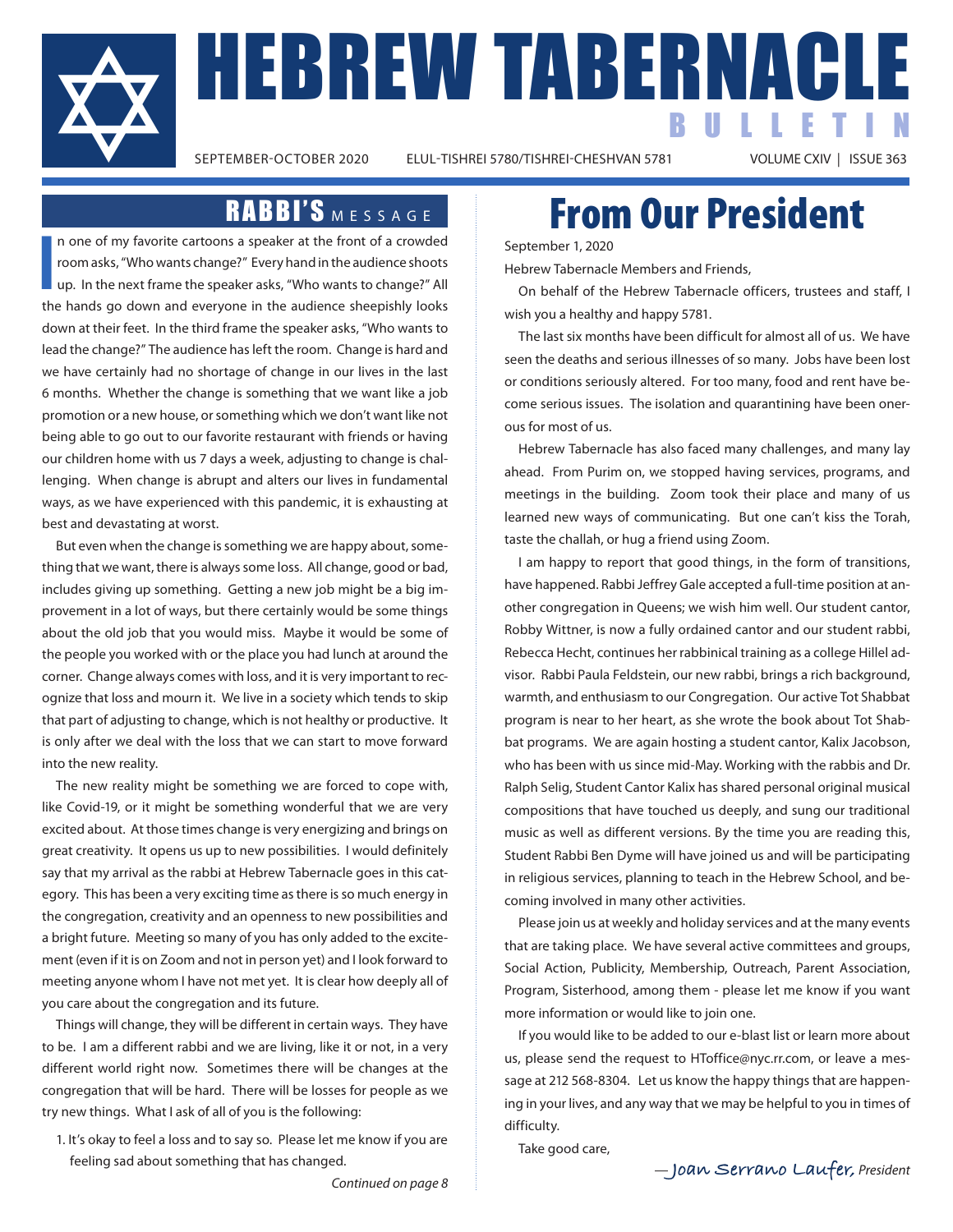

**HEBREW TABERNACLE** BULLETIN

ELUL-TISHREI 5780/TISHREI-CHESHVAN 5781

### RABBI'S MESSAGE

**I** n one of my favorite cartoons a speaker at the front of a crowded room asks, "Who wants change?" Every hand in the audience shoots up. In the next frame the speaker asks, "Who wants to change?" All the hands go down and everyone in the audience sheepishly looks down at their feet. In the third frame the speaker asks, "Who wants to lead the change?" The audience has left the room. Change is hard and we have certainly had no shortage of change in our lives in the last 6 months. Whether the change is something that we want like a job promotion or a new house, or something which we don't want like not being able to go out to our favorite restaurant with friends or having our children home with us 7 days a week, adjusting to change is challenging. When change is abrupt and alters our lives in fundamental ways, as we have experienced with this pandemic, it is exhausting at best and devastating at worst.

But even when the change is something we are happy about, something that we want, there is always some loss. All change, good or bad, includes giving up something. Getting a new job might be a big improvement in a lot of ways, but there certainly would be some things about the old job that you would miss. Maybe it would be some of the people you worked with or the place you had lunch at around the corner. Change always comes with loss, and it is very important to recognize that loss and mourn it. We live in a society which tends to skip that part of adjusting to change, which is not healthy or productive. It is only after we deal with the loss that we can start to move forward into the new reality.

The new reality might be something we are forced to cope with, like Covid-19, or it might be something wonderful that we are very excited about. At those times change is very energizing and brings on great creativity. It opens us up to new possibilities. I would definitely say that my arrival as the rabbi at Hebrew Tabernacle goes in this category. This has been a very exciting time as there is so much energy in the congregation, creativity and an openness to new possibilities and a bright future. Meeting so many of you has only added to the excitement (even if it is on Zoom and not in person yet) and I look forward to meeting anyone whom I have not met yet. It is clear how deeply all of you care about the congregation and its future.

Things will change, they will be different in certain ways. They have to be. I am a different rabbi and we are living, like it or not, in a very different world right now. Sometimes there will be changes at the congregation that will be hard. There will be losses for people as we try new things. What I ask of all of you is the following:

1. It's okay to feel a loss and to say so. Please let me know if you are feeling sad about something that has changed.

## From Our President

September 1, 2020

Hebrew Tabernacle Members and Friends,

On behalf of the Hebrew Tabernacle officers, trustees and staff, I wish you a healthy and happy 5781.

The last six months have been difficult for almost all of us. We have seen the deaths and serious illnesses of so many. Jobs have been lost or conditions seriously altered. For too many, food and rent have become serious issues. The isolation and quarantining have been onerous for most of us.

Hebrew Tabernacle has also faced many challenges, and many lay ahead. From Purim on, we stopped having services, programs, and meetings in the building. Zoom took their place and many of us learned new ways of communicating. But one can't kiss the Torah, taste the challah, or hug a friend using Zoom.

I am happy to report that good things, in the form of transitions, have happened. Rabbi Jeffrey Gale accepted a full-time position at another congregation in Queens; we wish him well. Our student cantor, Robby Wittner, is now a fully ordained cantor and our student rabbi, Rebecca Hecht, continues her rabbinical training as a college Hillel advisor. Rabbi Paula Feldstein, our new rabbi, brings a rich background, warmth, and enthusiasm to our Congregation. Our active Tot Shabbat program is near to her heart, as she wrote the book about Tot Shabbat programs. We are again hosting a student cantor, Kalix Jacobson, who has been with us since mid-May. Working with the rabbis and Dr. Ralph Selig, Student Cantor Kalix has shared personal original musical compositions that have touched us deeply, and sung our traditional music as well as different versions. By the time you are reading this, Student Rabbi Ben Dyme will have joined us and will be participating in religious services, planning to teach in the Hebrew School, and becoming involved in many other activities.

Please join us at weekly and holiday services and at the many events that are taking place. We have several active committees and groups, Social Action, Publicity, Membership, Outreach, Parent Association, Program, Sisterhood, among them - please let me know if you want more information or would like to join one.

If you would like to be added to our e-blast list or learn more about us, please send the request to HToffice@nyc.rr.com, or leave a message at 212 568-8304. Let us know the happy things that are happening in your lives, and any way that we may be helpful to you in times of difficulty.

Take good care,

*Continued on page 8*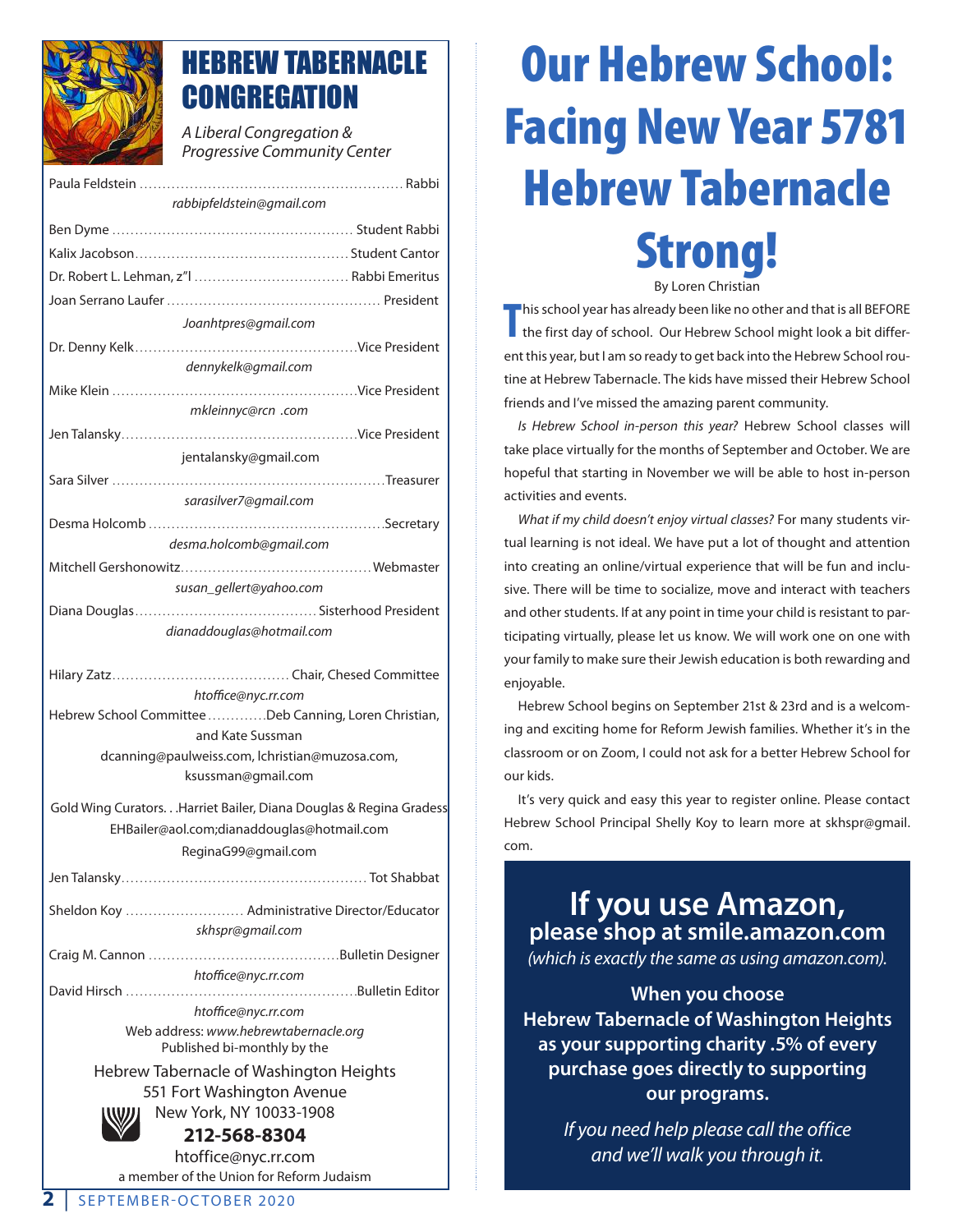

## HEBREW TABERNACLE **CONGREGATION**

*A Liberal Congregation & Progressive Community Center*

|                                                                      | <b>Progressive Community Center</b>           |
|----------------------------------------------------------------------|-----------------------------------------------|
|                                                                      |                                               |
| rabbipfeldstein@gmail.com                                            |                                               |
|                                                                      |                                               |
|                                                                      |                                               |
|                                                                      |                                               |
|                                                                      |                                               |
| Joanhtpres@gmail.com                                                 |                                               |
|                                                                      |                                               |
|                                                                      | dennykelk@gmail.com                           |
|                                                                      |                                               |
|                                                                      | mkleinnyc@rcn .com                            |
|                                                                      | jentalansky@gmail.com                         |
|                                                                      |                                               |
|                                                                      | sarasilver7@gmail.com                         |
|                                                                      |                                               |
|                                                                      | desma.holcomb@gmail.com                       |
|                                                                      |                                               |
|                                                                      | susan_gellert@yahoo.com                       |
|                                                                      |                                               |
|                                                                      | dianaddouglas@hotmail.com                     |
|                                                                      |                                               |
|                                                                      | htoffice@nyc.rr.com                           |
| Hebrew School Committee Deb Canning, Loren Christian,                |                                               |
| and Kate Sussman                                                     |                                               |
| dcanning@paulweiss.com, lchristian@muzosa.com,<br>ksussman@gmail.com |                                               |
|                                                                      |                                               |
| Gold Wing CuratorsHarriet Bailer, Diana Douglas & Regina Gradess     |                                               |
| EHBailer@aol.com;dianaddouglas@hotmail.com                           |                                               |
|                                                                      | ReginaG99@gmail.com                           |
|                                                                      |                                               |
|                                                                      | Sheldon Koy  Administrative Director/Educator |
|                                                                      | skhspr@gmail.com                              |
|                                                                      |                                               |
|                                                                      | htoffice@nyc.rr.com                           |
| htoffice@nyc.rr.com                                                  |                                               |
| Web address: www.hebrewtabernacle.org                                |                                               |
| Published bi-monthly by the                                          |                                               |
| Hebrew Tabernacle of Washington Heights                              |                                               |

551 Fort Washington Avenue New York, NY 10033-1908



**212-568-8304**

htoffice@nyc.rr.com a member of the Union for Reform Judaism

## Our Hebrew School: Facing New Year 5781 Hebrew Tabernacle Strong! By Loren Christian

**T** his school year has already been like no other and that is all BEFORE the first day of school. Our Hebrew School might look a bit different this year, but I am so ready to get back into the Hebrew School routine at Hebrew Tabernacle. The kids have missed their Hebrew School friends and I've missed the amazing parent community.

*Is Hebrew School in-person this year?* Hebrew School classes will take place virtually for the months of September and October. We are hopeful that starting in November we will be able to host in-person activities and events.

*What if my child doesn't enjoy virtual classes?* For many students virtual learning is not ideal. We have put a lot of thought and attention into creating an online/virtual experience that will be fun and inclusive. There will be time to socialize, move and interact with teachers and other students. If at any point in time your child is resistant to participating virtually, please let us know. We will work one on one with your family to make sure their Jewish education is both rewarding and enjoyable.

Hebrew School begins on September 21st & 23rd and is a welcoming and exciting home for Reform Jewish families. Whether it's in the classroom or on Zoom, I could not ask for a better Hebrew School for our kids.

It's very quick and easy this year to register online. Please contact Hebrew School Principal Shelly Koy to learn more at skhspr@gmail. com.

## **If you use Amazon, please shop at smile.amazon.com** *(which is exactly the same as using amazon.com).*

**When you choose Hebrew Tabernacle of Washington Heights as your supporting charity .5% of every purchase goes directly to supporting our programs.**

> *If you need help please call the office and we'll walk you through it.*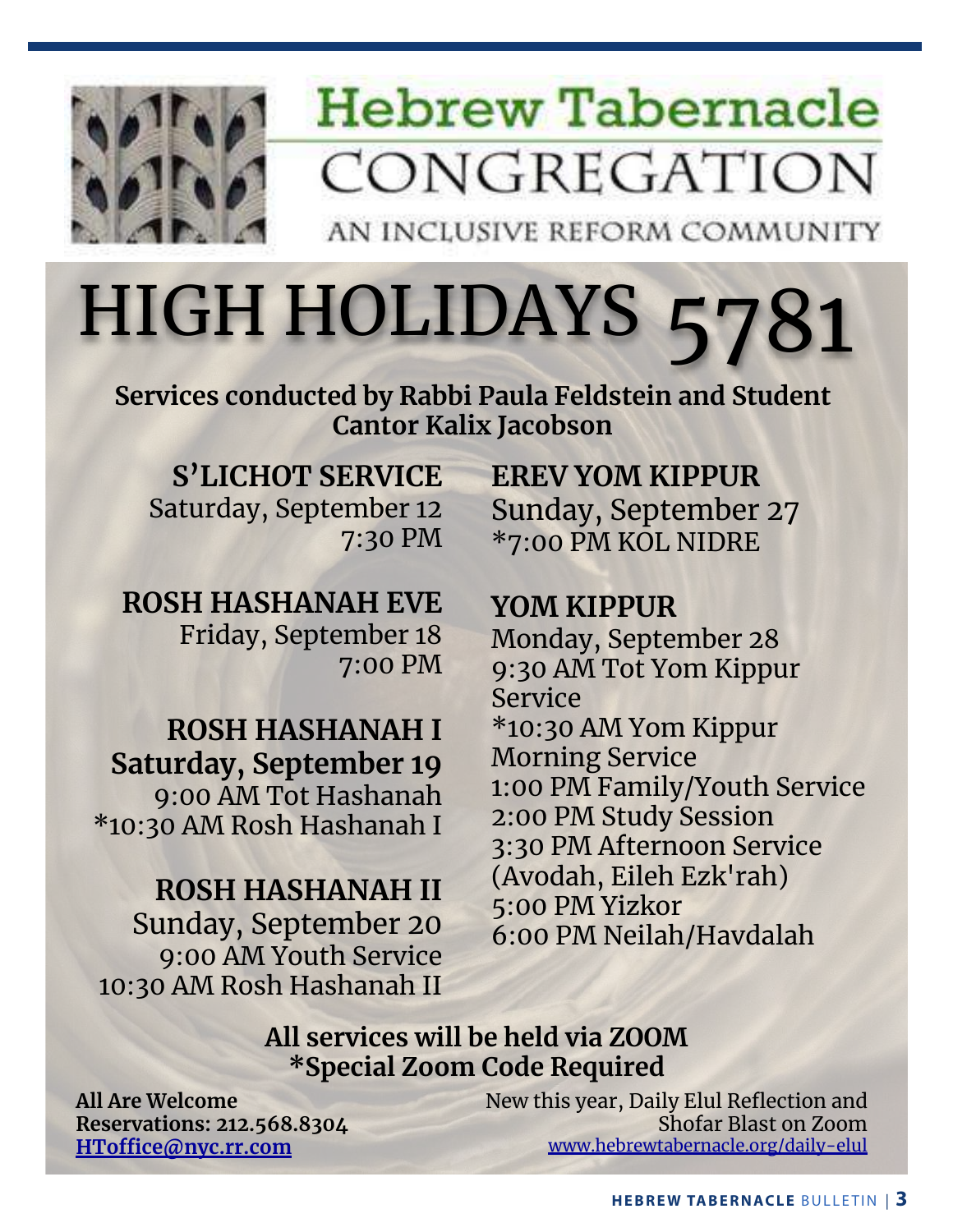

## **Hebrew Tabernacle** CONGREGATION

AN INCLUSIVE REFORM COMMUNITY

# HIGH HOLIDAYS 5781

**Services conducted by Rabbi Paula Feldstein and Student Cantor Kalix Jacobson**

**S'LICHOT SERVICE** Saturday, September 12 7:30 PM

**ROSH HASHANAH EVE** Friday, September 18 7:00 PM

**ROSH HASHANAH I Saturday, September 19** 9:00 AM Tot Hashanah \*10:30 AM Rosh Hashanah I

### **ROSH HASHANAH II** Sunday, September 20 9:00 AM Youth Service 10:30 AM Rosh Hashanah II

**EREV YOM KIPPUR** Sunday, September 27 \*7:00 PM KOL NIDRE

**YOM KIPPUR** Monday, September 28 9:30 AM Tot Yom Kippur Service \*10:30 AM Yom Kippur Morning Service 1:00 PM Family/Youth Service 2:00 PM Study Session 3:30 PM Afternoon Service (Avodah, Eileh Ezk'rah) 5:00 PM Yizkor 6:00 PM Neilah/Havdalah

### **All services will be held via ZOOM \*Special Zoom Code Required**

**All Are Welcome Reservations: 212.568.8304 HToffice@nyc.rr.com**

New this year, Daily Elul Reflection and Shofar Blast on Zoom www.hebrewtabernacle.org/daily-elul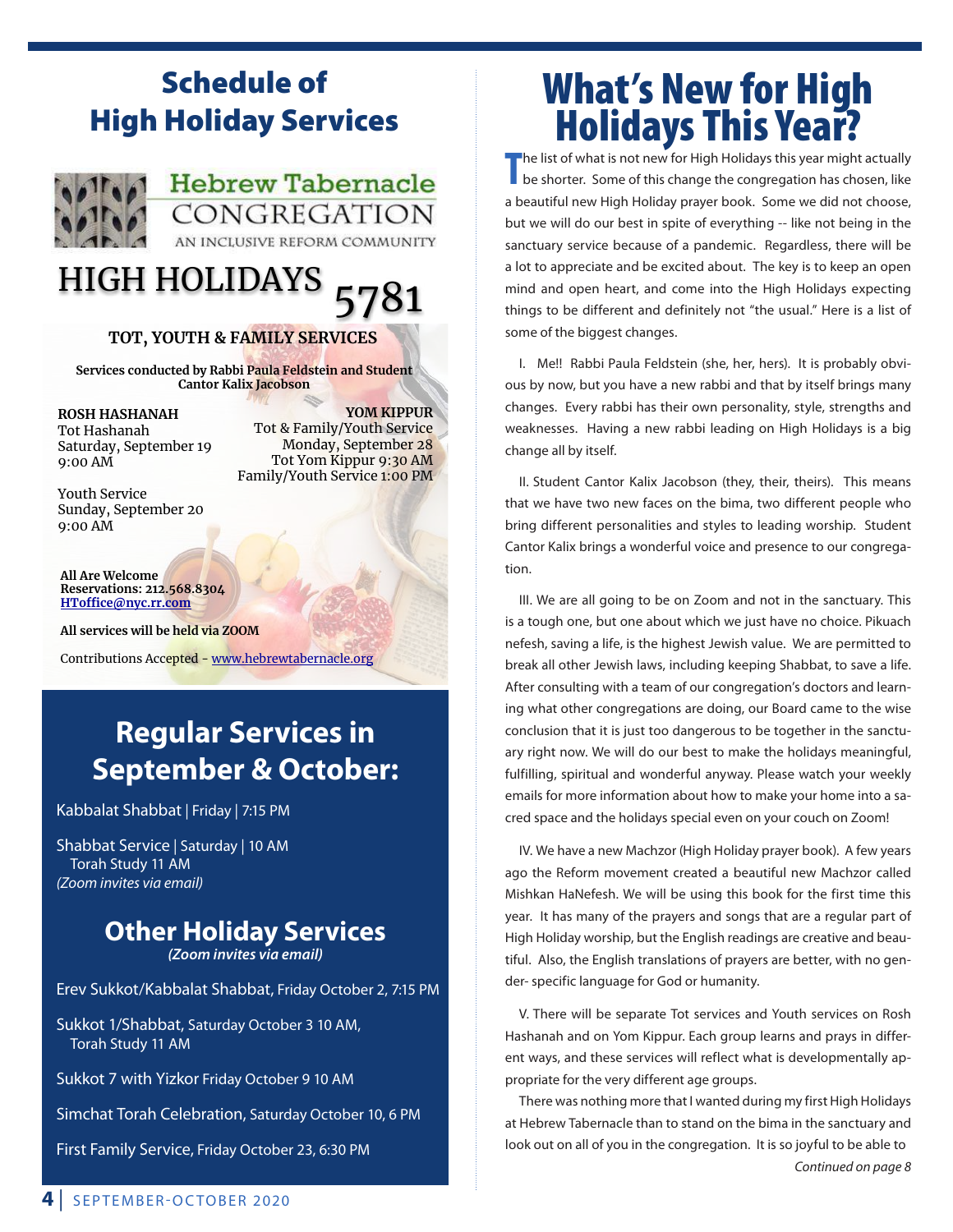## Schedule of High Holiday Services



**Hebrew Tabernacle** CONGREGATION AN INCLUSIVE REFORM COMMUNITY

## HIGH HOLIDAYS 5781

#### **TOT, YOUTH & FAMILY SERVICES**

**Services conducted by Rabbi Paula Feldstein and Student Cantor Kalix Jacobson**

**ROSH HASHANAH** Tot Hashanah Saturday, September 19 9:00 AM

**YOM KIPPUR**  Tot & Family/Youth Service Monday, September 28 Tot Yom Kippur 9:30 AM Family/Youth Service 1:00 PM

Youth Service Sunday, September 20 9:00 AM

**All Are Welcome Reservations: 212.568.8304 HToffice@nyc.rr.com**

**All services will be held via ZOOM**

Contributions Accepted - www.hebrewtabernacle.org

## **Regular Services in September & October:**

Kabbalat Shabbat | Friday | 7:15 PM

Shabbat Service | Saturday | 10 AM Torah Study 11 AM *(Zoom invites via email)*

#### **Other Holiday Services** *(Zoom invites via email)*

Erev Sukkot/Kabbalat Shabbat, Friday October 2, 7:15 PM

Sukkot 1/Shabbat, Saturday October 3 10 AM, Torah Study 11 AM

Sukkot 7 with Yizkor Friday October 9 10 AM

Simchat Torah Celebration, Saturday October 10, 6 PM

First Family Service, Friday October 23, 6:30 PM

## What's New for High Holidays This Year?

**The list of what is not new for High Holidays this year might actually be shorter. Some of this change the congregation has chosen, like** be shorter. Some of this change the congregation has chosen, like a beautiful new High Holiday prayer book. Some we did not choose, but we will do our best in spite of everything -- like not being in the sanctuary service because of a pandemic. Regardless, there will be a lot to appreciate and be excited about. The key is to keep an open mind and open heart, and come into the High Holidays expecting things to be different and definitely not "the usual." Here is a list of some of the biggest changes.

I. Me!! Rabbi Paula Feldstein (she, her, hers). It is probably obvious by now, but you have a new rabbi and that by itself brings many changes. Every rabbi has their own personality, style, strengths and weaknesses. Having a new rabbi leading on High Holidays is a big change all by itself.

II. Student Cantor Kalix Jacobson (they, their, theirs). This means that we have two new faces on the bima, two different people who bring different personalities and styles to leading worship. Student Cantor Kalix brings a wonderful voice and presence to our congregation.

III. We are all going to be on Zoom and not in the sanctuary. This is a tough one, but one about which we just have no choice. Pikuach nefesh, saving a life, is the highest Jewish value. We are permitted to break all other Jewish laws, including keeping Shabbat, to save a life. After consulting with a team of our congregation's doctors and learning what other congregations are doing, our Board came to the wise conclusion that it is just too dangerous to be together in the sanctuary right now. We will do our best to make the holidays meaningful, fulfilling, spiritual and wonderful anyway. Please watch your weekly emails for more information about how to make your home into a sacred space and the holidays special even on your couch on Zoom!

IV. We have a new Machzor (High Holiday prayer book). A few years ago the Reform movement created a beautiful new Machzor called Mishkan HaNefesh. We will be using this book for the first time this year. It has many of the prayers and songs that are a regular part of High Holiday worship, but the English readings are creative and beautiful. Also, the English translations of prayers are better, with no gender- specific language for God or humanity.

V. There will be separate Tot services and Youth services on Rosh Hashanah and on Yom Kippur. Each group learns and prays in different ways, and these services will reflect what is developmentally appropriate for the very different age groups.

There was nothing more that I wanted during my first High Holidays at Hebrew Tabernacle than to stand on the bima in the sanctuary and look out on all of you in the congregation. It is so joyful to be able to *Continued on page 8*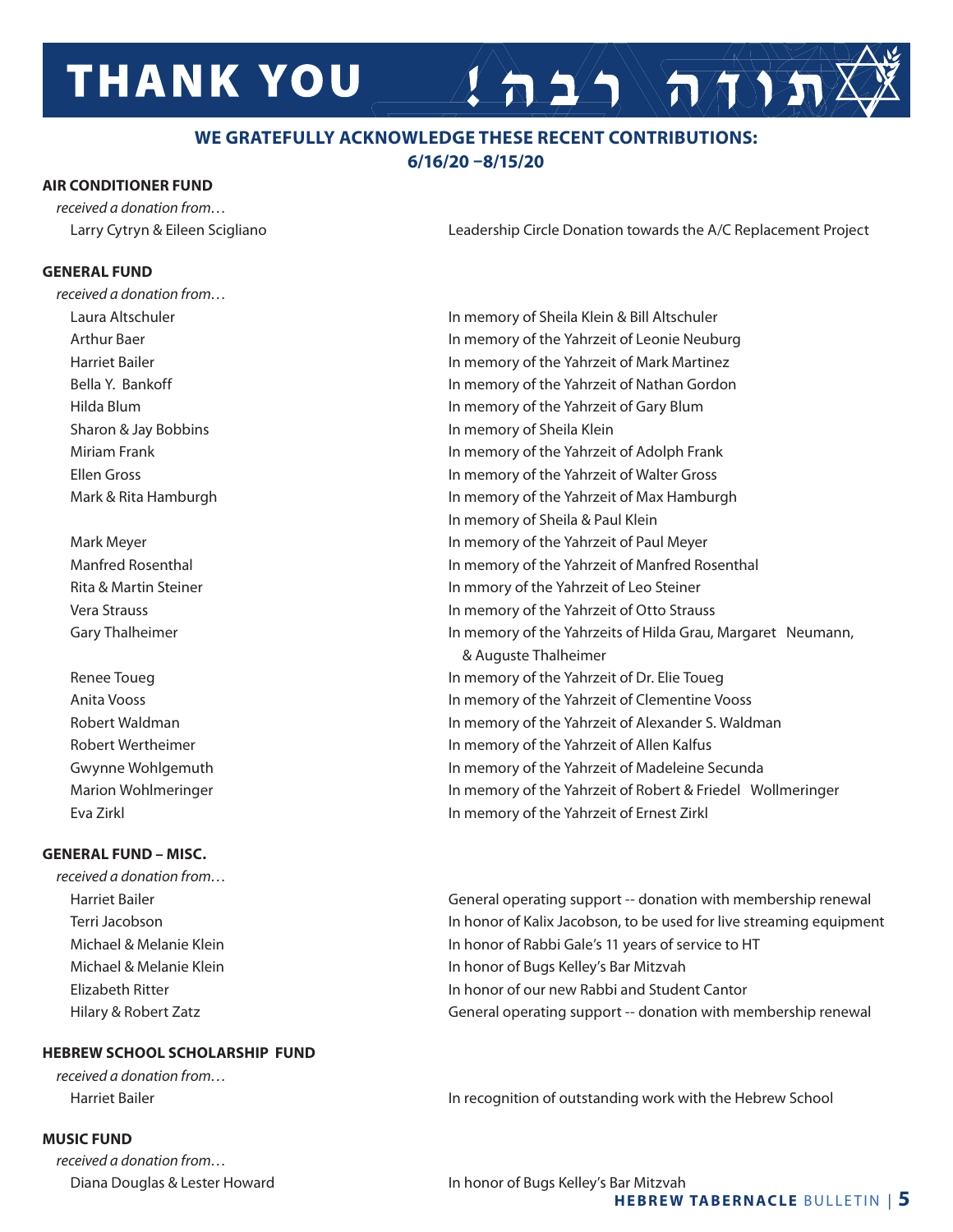## **THANK YOU**

#### **WE GRATEFULLY ACKNOWLEDGE THESE RECENT CONTRIBUTIONS: 6/16/20 –8/15/20**

#### **AIR CONDITIONER FUND**

*received a donation from…*

Larry Cytryn & Eileen Scigliano Leadership Circle Donation towards the A/C Replacement Project

 $\sum_{i=1}^{n}$ 

#### **GENERAL FUND**

*received a donation from…* Laura Altschuler In memory of Sheila Klein & Bill Altschuler

Eva Zirkl In memory of the Yahrzeit of Ernest Zirkl

#### **GENERAL FUND – MISC.**

*received a donation from…*

#### **HEBREW SCHOOL SCHOLARSHIP FUND**

*received a donation from…* 

#### **MUSIC FUND**

*received a donation from…* 

 Arthur Baer In memory of the Yahrzeit of Leonie Neuburg Harriet Bailer In memory of the Yahrzeit of Mark Martinez Bella Y. Bankoff **In the Value of the Yahrzeit of Nathan Gordon**  Hilda Blum In memory of the Yahrzeit of Gary Blum Sharon & Jay Bobbins **In memory of Sheila Klein**  Miriam Frank In memory of the Yahrzeit of Adolph Frank Ellen Gross In memory of the Yahrzeit of Walter Gross Mark & Rita Hamburgh **In Mark & Rita Hamburgh In Mark & Rita Hamburgh** In memory of the Yahrzeit of Max Hamburgh In memory of Sheila & Paul Klein Mark Meyer **In memory of the Yahrzeit of Paul Meyer** In memory of the Yahrzeit of Paul Meyer Manfred Rosenthal In memory of the Yahrzeit of Manfred Rosenthal Rita & Martin Steiner **In mmore in the In mmory of the Yahrzeit of Leo Steiner**  Vera Strauss In memory of the Yahrzeit of Otto Strauss Gary Thalheimer **In Margaret In Margaret In memory of the Yahrzeits of Hilda Grau, Margaret Neumann,**  & Auguste Thalheimer Renee Toueg **In memory of the Yahrzeit of Dr. Elie Toueg**  Anita Vooss In memory of the Yahrzeit of Clementine Vooss Robert Waldman **In memory of the Yahrzeit of Alexander S. Waldman** In memory of the Yahrzeit of Alexander S. Waldman Robert Wertheimer **In memory of the Yahrzeit of Allen Kalfus** Gwynne Wohlgemuth **In memory of the Yahrzeit of Madeleine Secunda** Marion Wohlmeringer The Value of the Yahrzeit of Robert & Friedel Wollmeringer

Harriet Bailer General operating support -- donation with membership renewal Terri Jacobson In honor of Kalix Jacobson, to be used for live streaming equipment Michael & Melanie Klein **In honor of Rabbi Gale's 11 years of service to HT**  Michael & Melanie Klein In honor of Bugs Kelley's Bar Mitzvah Elizabeth Ritter In honor of our new Rabbi and Student Cantor Hilary & Robert Zatz **General operating support -- donation with membership renewal** 

Harriet Bailer **In recognition of outstanding work with the Hebrew School In recognition of outstanding work with the Hebrew School** 

 Diana Douglas & Lester Howard In honor of Bugs Kelley's Bar Mitzvah **HEBREW TABERNACLE** BULLETIN | **5**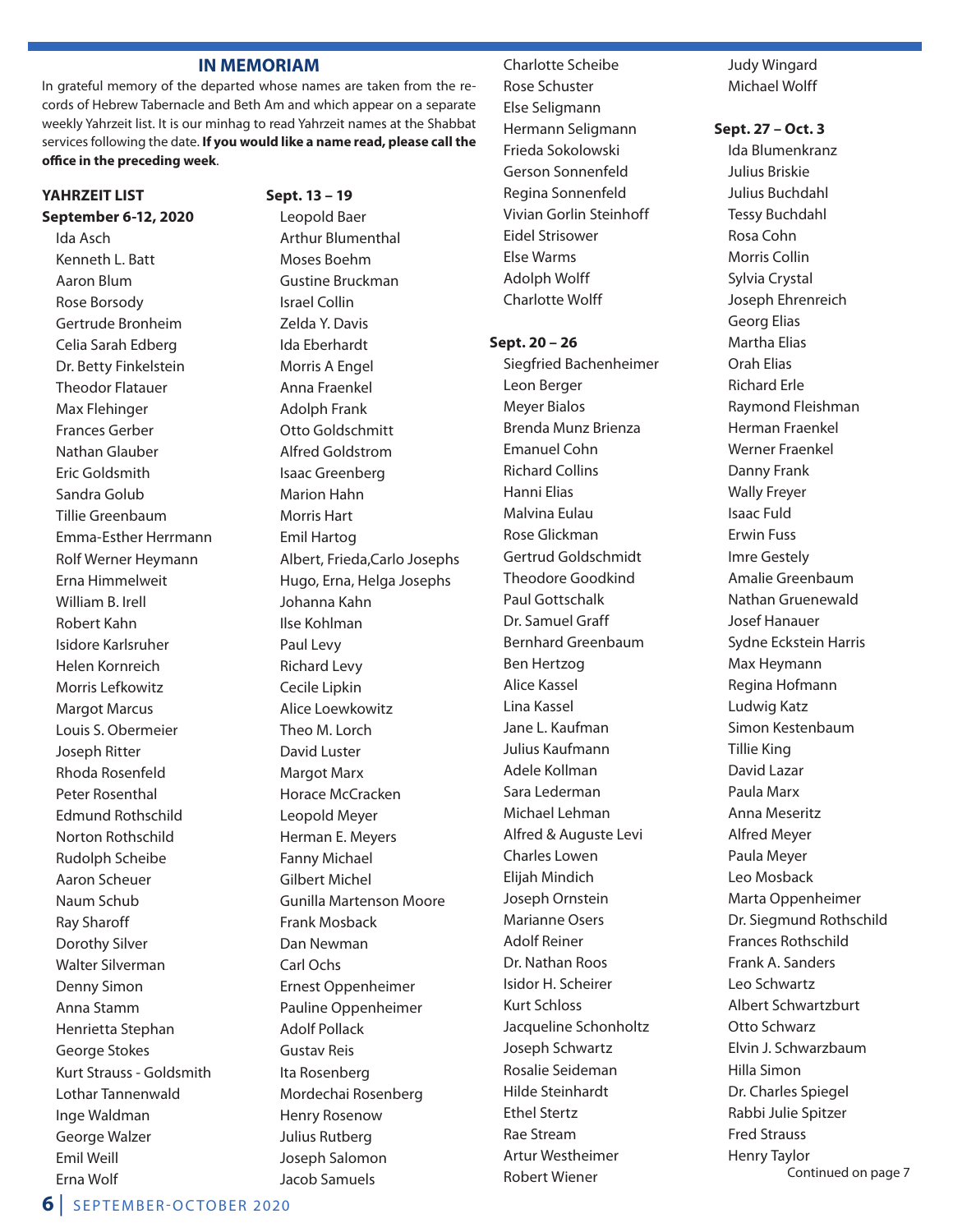#### **IN MEMORIAM**

In grateful memory of the departed whose names are taken from the records of Hebrew Tabernacle and Beth Am and which appear on a separate weekly Yahrzeit list. It is our minhag to read Yahrzeit names at the Shabbat services following the date. **If you would like a name read, please call the office in the preceding week**.

#### **YAHRZEIT LIST September 6-12, 2020**

Ida Asch Kenneth L. Batt Aaron Blum Rose Borsody Gertrude Bronheim Celia Sarah Edberg Dr. Betty Finkelstein Theodor Flatauer Max Flehinger Frances Gerber Nathan Glauber Eric Goldsmith Sandra Golub Tillie Greenbaum Emma-Esther Herrmann Rolf Werner Heymann Erna Himmelweit William B. Irell Robert Kahn Isidore Karlsruher Helen Kornreich Morris Lefkowitz Margot Marcus Louis S. Obermeier Joseph Ritter Rhoda Rosenfeld Peter Rosenthal Edmund Rothschild Norton Rothschild Rudolph Scheibe Aaron Scheuer Naum Schub Ray Sharoff Dorothy Silver Walter Silverman Denny Simon Anna Stamm Henrietta Stephan George Stokes Kurt Strauss - Goldsmith Lothar Tannenwald Inge Waldman George Walzer Emil Weill Erna Wolf

**Sept. 13 – 19** Leopold Baer Arthur Blumenthal Moses Boehm Gustine Bruckman Israel Collin Zelda Y. Davis Ida Eberhardt Morris A Engel Anna Fraenkel Adolph Frank Otto Goldschmitt Alfred Goldstrom Isaac Greenberg Marion Hahn Morris Hart Emil Hartog Albert, Frieda,Carlo Josephs Hugo, Erna, Helga Josephs Johanna Kahn Ilse Kohlman Paul Levy Richard Levy Cecile Lipkin Alice Loewkowitz Theo M. Lorch David Luster Margot Marx Horace McCracken Leopold Meyer Herman E. Meyers Fanny Michael Gilbert Michel Gunilla Martenson Moore Frank Mosback Dan Newman Carl Ochs Ernest Oppenheimer Pauline Oppenheimer Adolf Pollack Gustav Reis Ita Rosenberg Mordechai Rosenberg Henry Rosenow Julius Rutberg Joseph Salomon Jacob Samuels

Charlotte Scheibe Rose Schuster Else Seligmann Hermann Seligmann Frieda Sokolowski Gerson Sonnenfeld Regina Sonnenfeld Vivian Gorlin Steinhoff Eidel Strisower Else Warms Adolph Wolff Charlotte Wolff

**Sept. 20 – 26** Siegfried Bachenheimer Leon Berger Meyer Bialos Brenda Munz Brienza Emanuel Cohn Richard Collins Hanni Elias Malvina Eulau Rose Glickman Gertrud Goldschmidt Theodore Goodkind Paul Gottschalk Dr. Samuel Graff Bernhard Greenbaum Ben Hertzog Alice Kassel Lina Kassel Jane L. Kaufman Julius Kaufmann Adele Kollman Sara Lederman Michael Lehman Alfred & Auguste Levi Charles Lowen Elijah Mindich Joseph Ornstein Marianne Osers Adolf Reiner Dr. Nathan Roos Isidor H. Scheirer Kurt Schloss Jacqueline Schonholtz Joseph Schwartz Rosalie Seideman Hilde Steinhardt Ethel Stertz Rae Stream Artur Westheimer Robert Wiener

Judy Wingard Michael Wolff

**Sept. 27 – Oct. 3**

Ida Blumenkranz Julius Briskie Julius Buchdahl Tessy Buchdahl Rosa Cohn Morris Collin Sylvia Crystal Joseph Ehrenreich Georg Elias Martha Elias Orah Elias Richard Erle Raymond Fleishman Herman Fraenkel Werner Fraenkel Danny Frank Wally Freyer Isaac Fuld Erwin Fuss Imre Gestely Amalie Greenbaum Nathan Gruenewald Josef Hanauer Sydne Eckstein Harris Max Heymann Regina Hofmann Ludwig Katz Simon Kestenbaum Tillie King David Lazar Paula Marx Anna Meseritz Alfred Meyer Paula Meyer Leo Mosback Marta Oppenheimer Dr. Siegmund Rothschild Frances Rothschild Frank A. Sanders Leo Schwartz Albert Schwartzburt Otto Schwarz Elvin J. Schwarzbaum Hilla Simon Dr. Charles Spiegel Rabbi Julie Spitzer Fred Strauss Henry Taylor Continued on page 7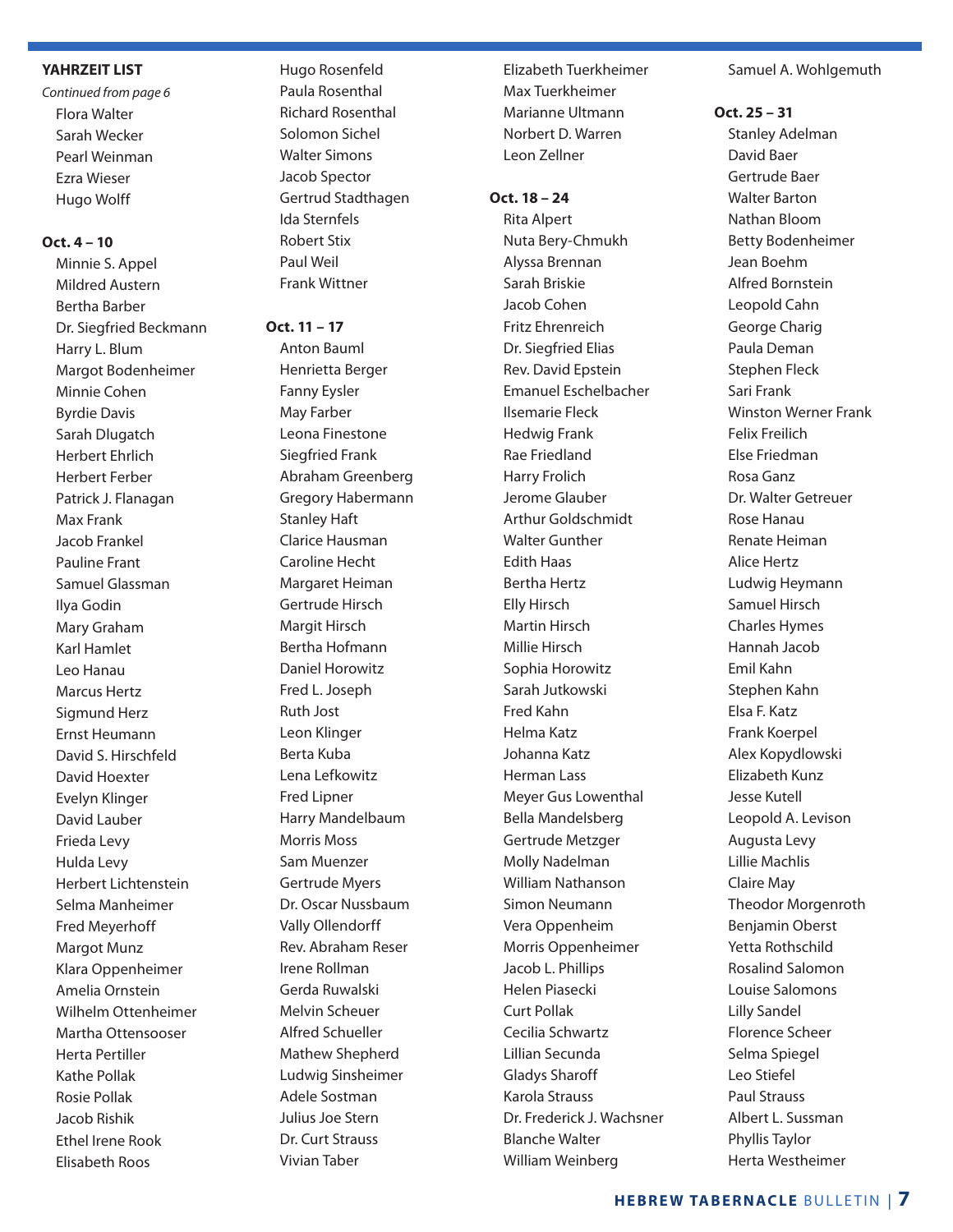#### **YAHRZEIT LIST**

*Continued from page 6* Flora Walter Sarah Wecker Pearl Weinman Ezra Wieser Hugo Wolff

#### **Oct. 4 – 10**

Minnie S. Appel Mildred Austern Bertha Barber Dr. Siegfried Beckmann Harry L. Blum Margot Bodenheimer Minnie Cohen Byrdie Davis Sarah Dlugatch Herbert Ehrlich Herbert Ferber Patrick J. Flanagan Max Frank Jacob Frankel Pauline Frant Samuel Glassman Ilya Godin Mary Graham Karl Hamlet Leo Hanau Marcus Hertz Sigmund Herz Ernst Heumann David S. Hirschfeld David Hoexter Evelyn Klinger David Lauber Frieda Levy Hulda Levy Herbert Lichtenstein Selma Manheimer Fred Meyerhoff Margot Munz Klara Oppenheimer Amelia Ornstein Wilhelm Ottenheimer Martha Ottensooser Herta Pertiller Kathe Pollak Rosie Pollak Jacob Rishik Ethel Irene Rook Elisabeth Roos

Hugo Rosenfeld Paula Rosenthal Richard Rosenthal Solomon Sichel Walter Simons Jacob Spector Gertrud Stadthagen Ida Sternfels Robert Stix Paul Weil Frank Wittner

#### **Oct. 11 – 17**

Anton Bauml Henrietta Berger Fanny Eysler May Farber Leona Finestone Siegfried Frank Abraham Greenberg Gregory Habermann Stanley Haft Clarice Hausman Caroline Hecht Margaret Heiman Gertrude Hirsch Margit Hirsch Bertha Hofmann Daniel Horowitz Fred L. Joseph Ruth Jost Leon Klinger Berta Kuba Lena Lefkowitz Fred Lipner Harry Mandelbaum Morris Moss Sam Muenzer Gertrude Myers Dr. Oscar Nussbaum Vally Ollendorff Rev. Abraham Reser Irene Rollman Gerda Ruwalski Melvin Scheuer Alfred Schueller Mathew Shepherd Ludwig Sinsheimer Adele Sostman Julius Joe Stern Dr. Curt Strauss Vivian Taber

Elizabeth Tuerkheimer Max Tuerkheimer Marianne Ultmann Norbert D. Warren Leon Zellner

#### **Oct. 18 – 24**

Rita Alpert Nuta Bery-Chmukh Alyssa Brennan Sarah Briskie Jacob Cohen Fritz Ehrenreich Dr. Siegfried Elias Rev. David Epstein Emanuel Eschelbacher Ilsemarie Fleck Hedwig Frank Rae Friedland Harry Frolich Jerome Glauber Arthur Goldschmidt Walter Gunther Edith Haas Bertha Hertz Elly Hirsch Martin Hirsch Millie Hirsch Sophia Horowitz Sarah Jutkowski Fred Kahn Helma Katz Johanna Katz Herman Lass Meyer Gus Lowenthal Bella Mandelsberg Gertrude Metzger Molly Nadelman William Nathanson Simon Neumann Vera Oppenheim Morris Oppenheimer Jacob L. Phillips Helen Piasecki Curt Pollak Cecilia Schwartz Lillian Secunda Gladys Sharoff Karola Strauss Dr. Frederick J. Wachsner Blanche Walter William Weinberg

#### Samuel A. Wohlgemuth

#### **Oct. 25 – 31**

Stanley Adelman David Baer Gertrude Baer Walter Barton Nathan Bloom Betty Bodenheimer Jean Boehm Alfred Bornstein Leopold Cahn George Charig Paula Deman Stephen Fleck Sari Frank Winston Werner Frank Felix Freilich Else Friedman Rosa Ganz Dr. Walter Getreuer Rose Hanau Renate Heiman Alice Hertz Ludwig Heymann Samuel Hirsch Charles Hymes Hannah Jacob Emil Kahn Stephen Kahn Elsa F. Katz Frank Koerpel Alex Kopydlowski Elizabeth Kunz Jesse Kutell Leopold A. Levison Augusta Levy Lillie Machlis Claire May Theodor Morgenroth Benjamin Oberst Yetta Rothschild Rosalind Salomon Louise Salomons Lilly Sandel Florence Scheer Selma Spiegel Leo Stiefel Paul Strauss Albert L. Sussman Phyllis Taylor Herta Westheimer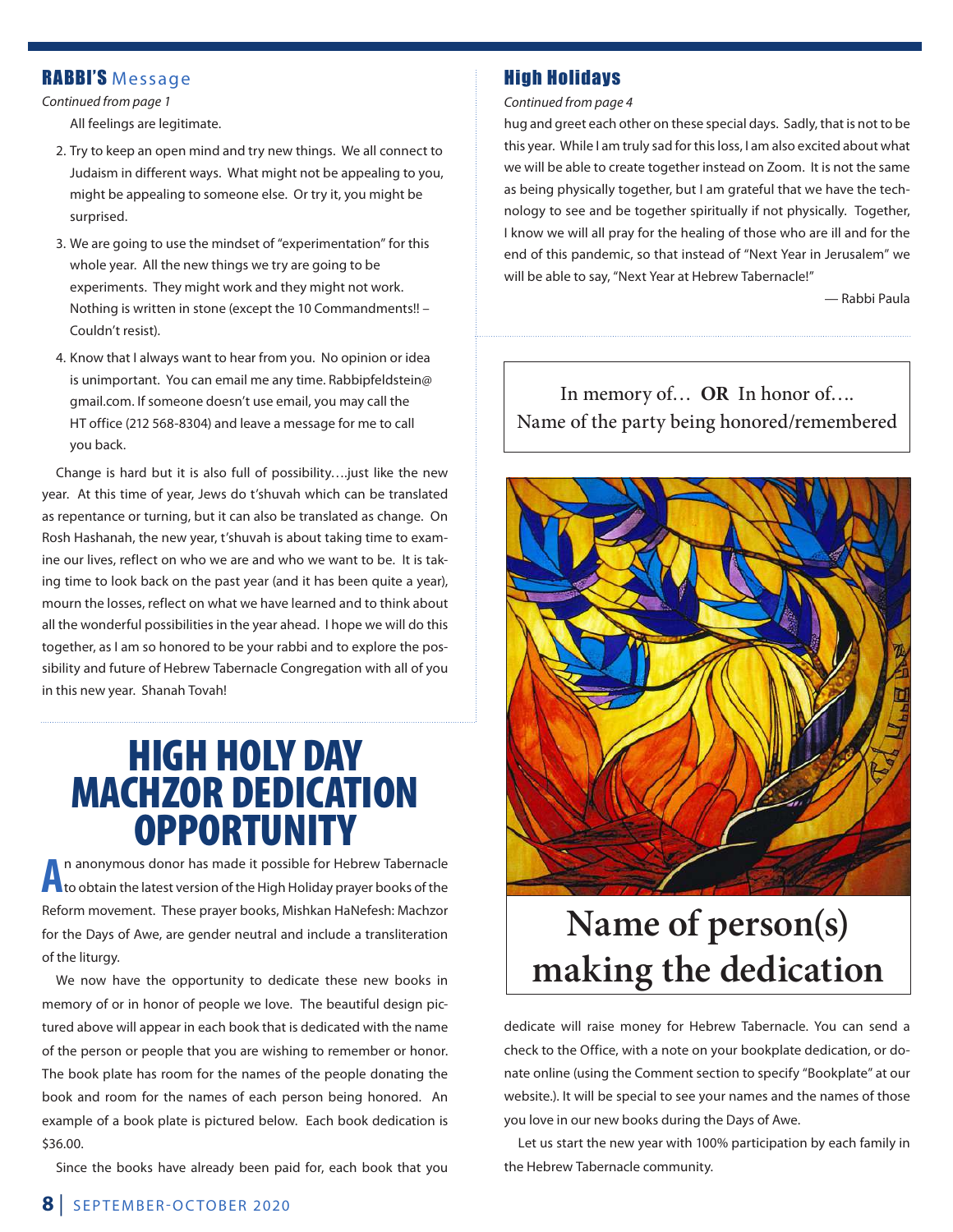#### RABBI'S Message

*Continued from page 1*

All feelings are legitimate.

- 2. Try to keep an open mind and try new things. We all connect to Judaism in different ways. What might not be appealing to you, might be appealing to someone else. Or try it, you might be surprised.
- 3. We are going to use the mindset of "experimentation" for this whole year. All the new things we try are going to be experiments. They might work and they might not work. Nothing is written in stone (except the 10 Commandments!! – Couldn't resist).
- 4. Know that I always want to hear from you. No opinion or idea is unimportant. You can email me any time. Rabbipfeldstein@ gmail.com. If someone doesn't use email, you may call the HT office (212 568-8304) and leave a message for me to call you back.

Change is hard but it is also full of possibility….just like the new year. At this time of year, Jews do t'shuvah which can be translated as repentance or turning, but it can also be translated as change. On Rosh Hashanah, the new year, t'shuvah is about taking time to examine our lives, reflect on who we are and who we want to be. It is taking time to look back on the past year (and it has been quite a year), mourn the losses, reflect on what we have learned and to think about all the wonderful possibilities in the year ahead. I hope we will do this together, as I am so honored to be your rabbi and to explore the possibility and future of Hebrew Tabernacle Congregation with all of you in this new year. Shanah Tovah!

## HIGH HOLY DAY MACHZOR DEDICATION **OPPORTUNITY**

**A** n anonymous donor has made it possible for Hebrew Tabernacle to obtain the latest version of the High Holiday prayer books of the Reform movement. These prayer books, Mishkan HaNefesh: Machzor for the Days of Awe, are gender neutral and include a transliteration of the liturgy.

We now have the opportunity to dedicate these new books in memory of or in honor of people we love. The beautiful design pictured above will appear in each book that is dedicated with the name of the person or people that you are wishing to remember or honor. The book plate has room for the names of the people donating the book and room for the names of each person being honored. An example of a book plate is pictured below. Each book dedication is \$36.00.

Since the books have already been paid for, each book that you

#### High Holidays

*Continued from page 4*

hug and greet each other on these special days. Sadly, that is not to be this year. While I am truly sad for this loss, I am also excited about what we will be able to create together instead on Zoom. It is not the same as being physically together, but I am grateful that we have the technology to see and be together spiritually if not physically. Together, I know we will all pray for the healing of those who are ill and for the end of this pandemic, so that instead of "Next Year in Jerusalem" we will be able to say, "Next Year at Hebrew Tabernacle!"

— Rabbi Paula

In memory of… **OR** In honor of…. Name of the party being honored/remembered



## **Name of person(s) making the dedication**

dedicate will raise money for Hebrew Tabernacle. You can send a check to the Office, with a note on your bookplate dedication, or donate online (using the Comment section to specify "Bookplate" at our website.). It will be special to see your names and the names of those you love in our new books during the Days of Awe.

Let us start the new year with 100% participation by each family in the Hebrew Tabernacle community.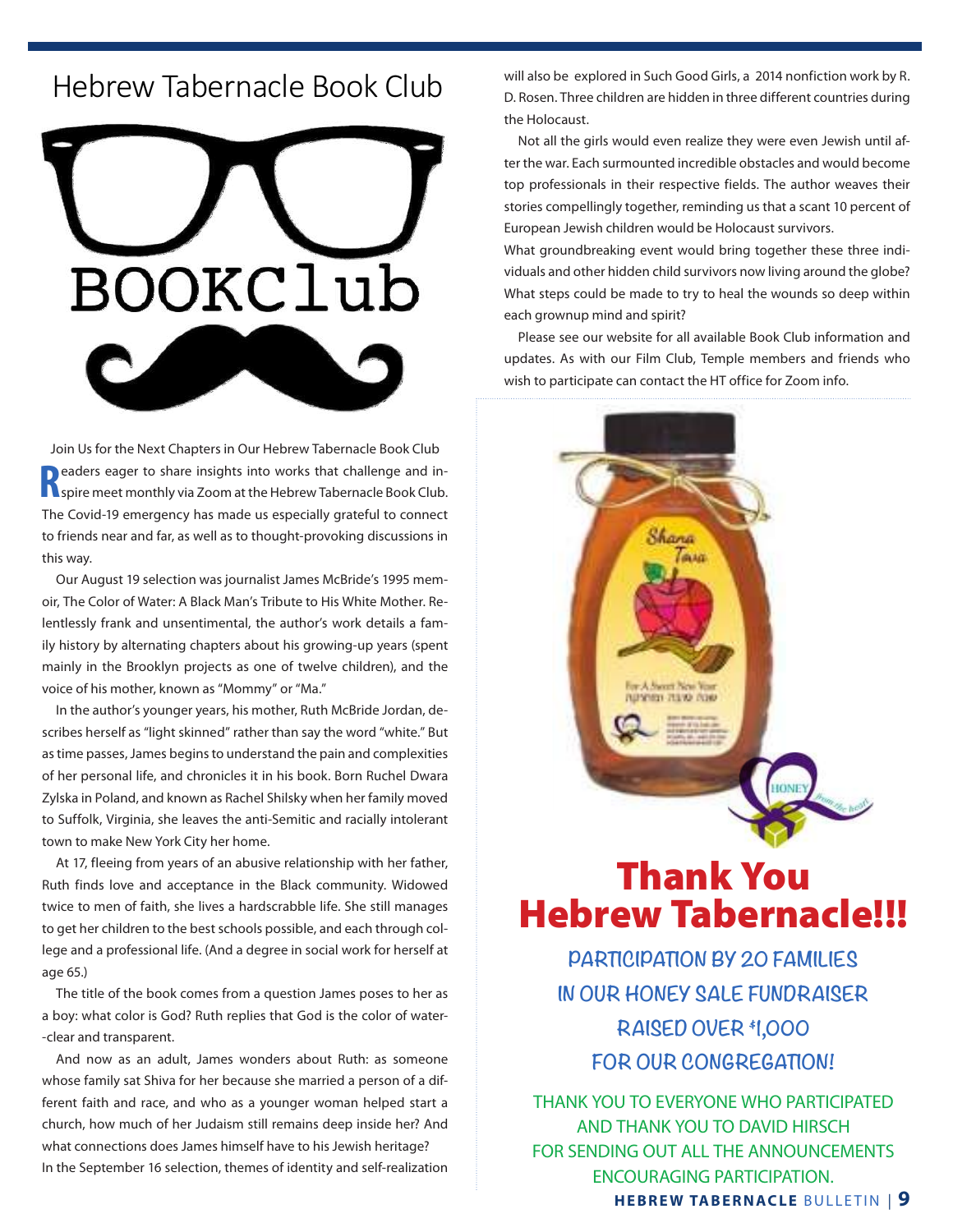#### $\begin{array}{ccc} \text{H} & \text{H} & \text{H} & \text{H} & \text{H} & \text{H} & \text{H} & \text{H} & \text{H} & \text{H} & \text{H} & \text{H} & \text{H} & \text{H} & \text{H} & \text{H} & \text{H} & \text{H} & \text{H} & \text{H} & \text{H} & \text{H} & \text{H} & \text{H} & \text{H} & \text{H} & \text{H} & \text{H} & \text{H} & \text{H} & \text{H} & \text{H} & \text{H} & \text{H} & \text{H} & \text{$ Hebrew Tabernacle Book Club



Join Us for the Next Chapters in Our Hebrew Tabernacle Book Club **R** eaders eager to share insights into works that challenge and in-<br> **R** spire meet monthly via Zoom at the Hebrew Tabernacle Book Club. **D** eaders eager to share insights into works that challenge and in-The Covid-19 emergency has made us especially grateful to connect to friends near and far, as well as to thought-provoking discussions in this way. The ubiquitous dry goods store-suits and coats, show and coats, show and hats, work clothes and hats, work clothes and hats, work clothes and hats, work clothes and hats, work clothes and hats, work clothes and h **Join us for the next**  $\mathbf{m}$  is the next of the Hebrew Tabernacle Book Club, open to the community. The community  $\mathbf{m}$  is the community of the community. The community of the community of the community of the commun

nus reg.<br>Our August 19 selection was journalist James McBride's 1995 memoir, The Color of Water: A Black Man's Tribute to His White Mother. Relentlessly frank and unsentimental, the author's work details a family history by alternating chapters about his growing-up years (spent mainly in the Brooklyn projects as one of twelve children), and the voice of his mother, known as "Mommy" or "Ma." Our August 19 selection was journalist James McBride's 1995 i population: 5,318) of one main street, one product on the bank, one picture shows the picture show, one feed a

In the author's younger years, his mother, Ruth McBride Jordan, de-<br> scribes herself as "light skinned" rather than say the word "white." But as time passes, James begins to understand the pain and complexities of her personal life, and chronicles it in his book. Born Ruchel Dwara .<br>Zylska in Poland, and known as Rachel Shilsky when her family moved to Suffolk, Virginia, she leaves the anti-Semitic and racially intolerant town to make New York City her home.  $\frac{1}{2}$  to a denote younger years, instruction and medities solidarity as an and  $\frac{1}{2}$ one hardware, one barber shop, one beauty parlor, one blacksmith, and many Christian churches.

> At 17, fleeing from years of an abusive relationship with her father, Ruth finds love and acceptance in the Black community. Widowed twice to men of faith, she lives a hardscrabble life. She still manages to get her children to the best schools possible, and each through college and a professional life. (And a degree in social work for herself at age 65.)

> The title of the book comes from a question James poses to her as a boy: what color is God? Ruth replies that God is the color of water- -clear and transparent.

> And now as an adult, James wonders about Ruth: as someone whose family sat Shiva for her because she married a person of a different faith and race, and who as a younger woman helped start a church, how much of her Judaism still remains deep inside her? And what connections does James himself have to his Jewish heritage? In the September 16 selection, themes of identity and self-realization

will also be explored in Such Good Girls, a 2014 nonfiction work by R. D. Rosen. Three children are hidden in three different countries during the Holocaust.

Not all the girls would even realize they were even Jewish until after the war. Each surmounted incredible obstacles and would become top professionals in their respective fields. The author weaves their stories compellingly together, reminding us that a scant 10 percent of European Jewish children would be Holocaust survivors.

What groundbreaking event would bring together these three individuals and other hidden child survivors now living around the globe? What steps could be made to try to heal the wounds so deep within each grownup mind and spirit?

Please see our website for all available Book Club information and updates. As with our Film Club, Temple members and friends who wish to participate can contact the HT office for Zoom info.



## Thank You Hebrew Tabernacle!!!

**PARTICIPATION BY 20 FAMILIES IN OUR HONEY SALE FUNDRAISER RAISED OVER \$1,000 FOR OUR CONGREGATION!**

**HEBREW TABERNACLE** BULLETIN | **9** THANK YOU TO EVERYONE WHO PARTICIPATED AND THANK YOU TO DAVID HIRSCH FOR SENDING OUT ALL THE ANNOUNCEMENTS ENCOURAGING PARTICIPATION.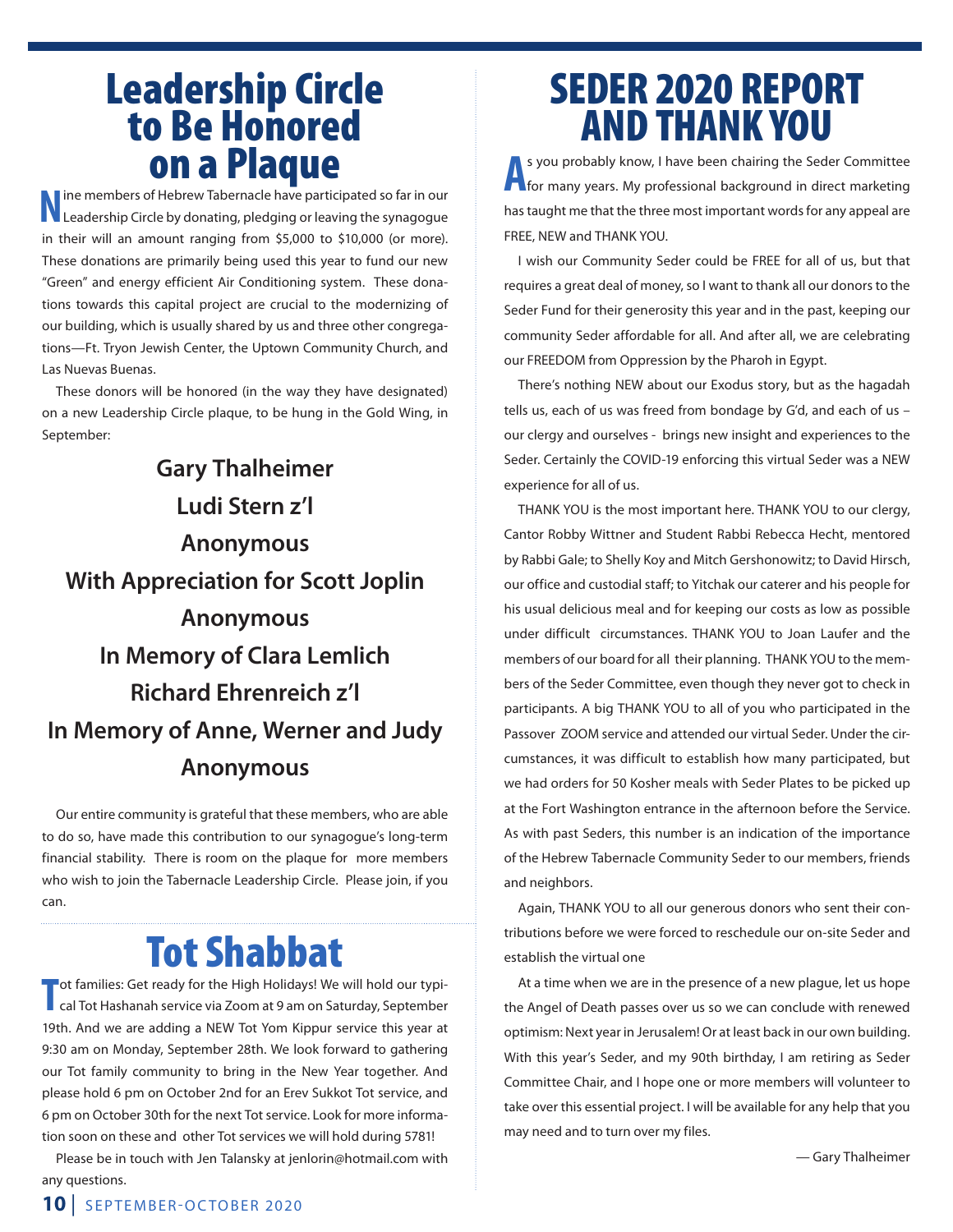## Leadership Circle to Be Honored on a Plaque

**N**ine members of Hebrew Tabernacle have participated so far in our Leadership Circle by donating, pledging or leaving the synagogue in their will an amount ranging from \$5,000 to \$10,000 (or more). These donations are primarily being used this year to fund our new "Green" and energy efficient Air Conditioning system. These donations towards this capital project are crucial to the modernizing of our building, which is usually shared by us and three other congregations—Ft. Tryon Jewish Center, the Uptown Community Church, and Las Nuevas Buenas.

These donors will be honored (in the way they have designated) on a new Leadership Circle plaque, to be hung in the Gold Wing, in September:

## **Gary Thalheimer Ludi Stern z'l Anonymous With Appreciation for Scott Joplin Anonymous In Memory of Clara Lemlich Richard Ehrenreich z'l In Memory of Anne, Werner and Judy Anonymous**

Our entire community is grateful that these members, who are able to do so, have made this contribution to our synagogue's long-term financial stability. There is room on the plaque for more members who wish to join the Tabernacle Leadership Circle. Please join, if you can.

## Tot Shabbat

**T** ot families: Get ready for the High Holidays! We will hold our typical Tot Hashanah service via Zoom at 9 am on Saturday, September 19th. And we are adding a NEW Tot Yom Kippur service this year at 9:30 am on Monday, September 28th. We look forward to gathering our Tot family community to bring in the New Year together. And please hold 6 pm on October 2nd for an Erev Sukkot Tot service, and 6 pm on October 30th for the next Tot service. Look for more information soon on these and other Tot services we will hold during 5781!

Please be in touch with Jen Talansky at jenlorin@hotmail.com with any questions.

## SEDER 2020 REPORT AND THANK YOU

**A** s you probably know, I have been chairing the Seder Committee<br>**A** for many years. My professional background in direct marketing s you probably know, I have been chairing the Seder Committee has taught me that the three most important words for any appeal are FREE, NEW and THANK YOU.

I wish our Community Seder could be FREE for all of us, but that requires a great deal of money, so I want to thank all our donors to the Seder Fund for their generosity this year and in the past, keeping our community Seder affordable for all. And after all, we are celebrating our FREEDOM from Oppression by the Pharoh in Egypt.

There's nothing NEW about our Exodus story, but as the hagadah tells us, each of us was freed from bondage by G'd, and each of us – our clergy and ourselves - brings new insight and experiences to the Seder. Certainly the COVID-19 enforcing this virtual Seder was a NEW experience for all of us.

THANK YOU is the most important here. THANK YOU to our clergy, Cantor Robby Wittner and Student Rabbi Rebecca Hecht, mentored by Rabbi Gale; to Shelly Koy and Mitch Gershonowitz; to David Hirsch, our office and custodial staff; to Yitchak our caterer and his people for his usual delicious meal and for keeping our costs as low as possible under difficult circumstances. THANK YOU to Joan Laufer and the members of our board for all their planning. THANK YOU to the members of the Seder Committee, even though they never got to check in participants. A big THANK YOU to all of you who participated in the Passover ZOOM service and attended our virtual Seder. Under the circumstances, it was difficult to establish how many participated, but we had orders for 50 Kosher meals with Seder Plates to be picked up at the Fort Washington entrance in the afternoon before the Service. As with past Seders, this number is an indication of the importance of the Hebrew Tabernacle Community Seder to our members, friends and neighbors.

Again, THANK YOU to all our generous donors who sent their contributions before we were forced to reschedule our on-site Seder and establish the virtual one

At a time when we are in the presence of a new plague, let us hope the Angel of Death passes over us so we can conclude with renewed optimism: Next year in Jerusalem! Or at least back in our own building. With this year's Seder, and my 90th birthday, I am retiring as Seder Committee Chair, and I hope one or more members will volunteer to take over this essential project. I will be available for any help that you may need and to turn over my files.

— Gary Thalheimer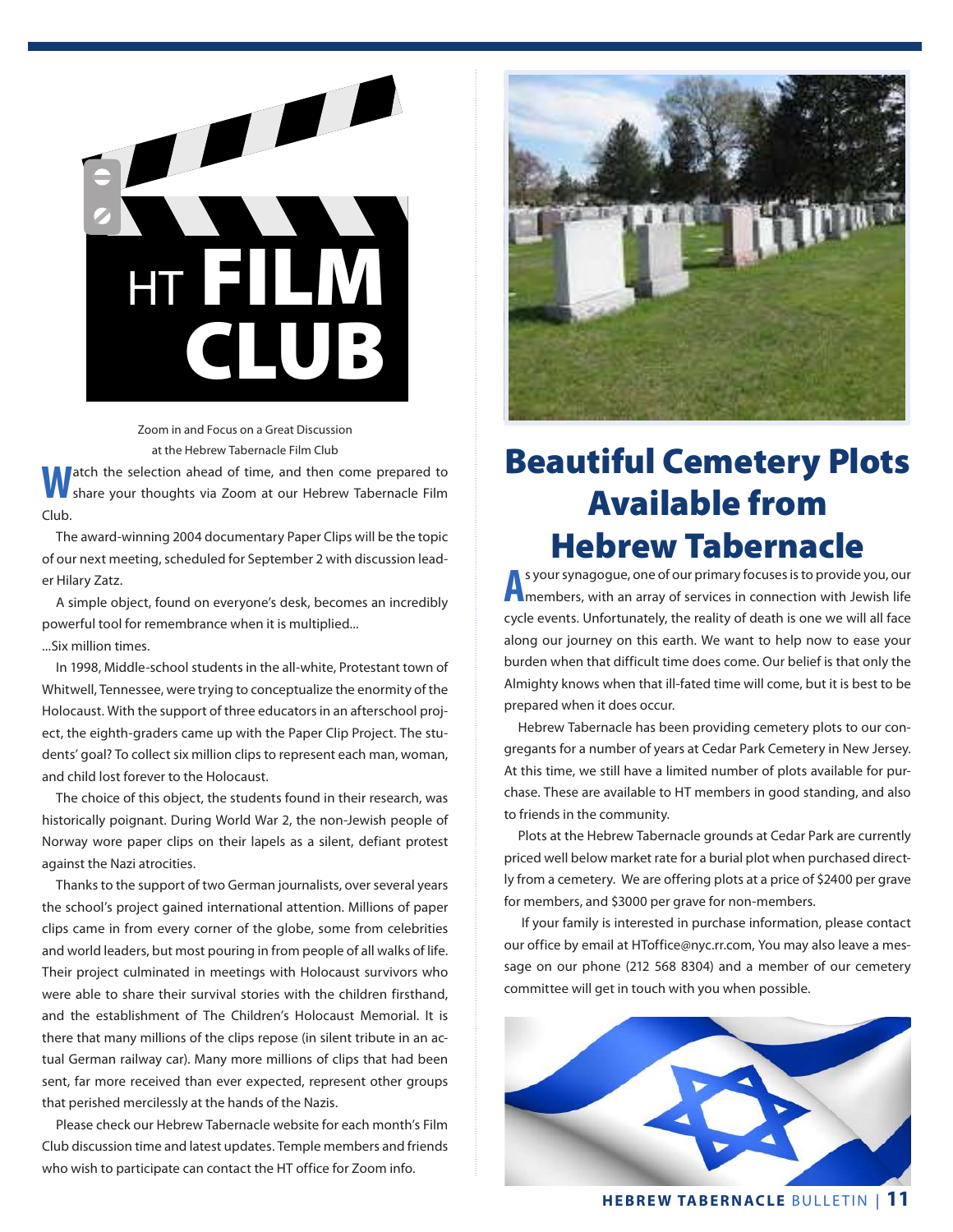

Zoom in and Focus on a Great Discussion at the Hebrew Tabernacle Film Club

atch the selection ahead of time, and then come prepared to share your thoughts via Zoom at our Hebrew Tabernacle Film Club.

The award-winning 2004 documentary Paper Clips will be the topic of our next meeting, scheduled for September 2 with discussion leader Hilary Zatz.

A simple object, found on everyone's desk, becomes an incredibly powerful tool for remembrance when it is multiplied...

...Six million times.

In 1998, Middle-school students in the all-white, Protestant town of Whitwell, Tennessee, were trying to conceptualize the enormity of the Holocaust. With the support of three educators in an afterschool project, the eighth-graders came up with the Paper Clip Project. The students' goal? To collect six million clips to represent each man, woman, and child lost forever to the Holocaust.

The choice of this object, the students found in their research, was historically poignant. During World War 2, the non-Jewish people of Norway wore paper clips on their lapels as a silent, defiant protest against the Nazi atrocities.

Thanks to the support of two German journalists, over several years the school's project gained international attention. Millions of paper clips came in from every corner of the globe, some from celebrities and world leaders, but most pouring in from people of all walks of life. Their project culminated in meetings with Holocaust survivors who were able to share their survival stories with the children firsthand, and the establishment of The Children's Holocaust Memorial. It is there that many millions of the clips repose (in silent tribute in an actual German railway car). Many more millions of clips that had been sent, far more received than ever expected, represent other groups that perished mercilessly at the hands of the Nazis.

Please check our Hebrew Tabernacle website for each month's Film Club discussion time and latest updates. Temple members and friends who wish to participate can contact the HT office for Zoom info.



## Beautiful Cemetery Plots Available from Hebrew Tabernacle

**A** s your synagogue, one of our primary focuses is to provide you, our<br>**A** members, with an array of services in connection with Jewish life s your synagogue, one of our primary focuses is to provide you, our cycle events. Unfortunately, the reality of death is one we will all face along our journey on this earth. We want to help now to ease your burden when that difficult time does come. Our belief is that only the Almighty knows when that ill-fated time will come, but it is best to be prepared when it does occur.

Hebrew Tabernacle has been providing cemetery plots to our congregants for a number of years at Cedar Park Cemetery in New Jersey. At this time, we still have a limited number of plots available for purchase. These are available to HT members in good standing, and also to friends in the community.

Plots at the Hebrew Tabernacle grounds at Cedar Park are currently priced well below market rate for a burial plot when purchased directly from a cemetery. We are offering plots at a price of \$2400 per grave for members, and \$3000 per grave for non-members.

 If your family is interested in purchase information, please contact our office by email at HToffice@nyc.rr.com, You may also leave a message on our phone (212 568 8304) and a member of our cemetery committee will get in touch with you when possible.



**HEBREW TABERNACLE** BULLETIN | **11**